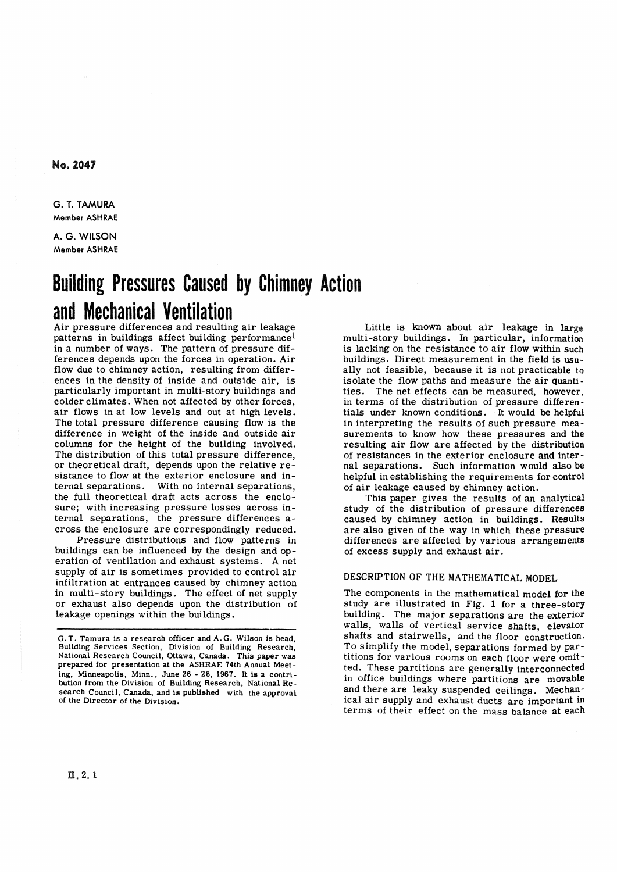**No. 2047** 

**G. T. TAMURA Member ASHRAE** 

**A. G. WlLSON Member ASHRAE** 

# **Building Pressures Caused by Chimney Action and Mechanical Ventilation**

Air pressure differences and resulting air leakage patterns in buildings affect building performance<sup>1</sup> in a number of ways. The pattern of pressure dif ferences depends upon the forces in operation. Air flow due to chimney action, resulting from differences in the density of inside and outside air, is particularly important in multi-story buildings and colder climates. When not affected by other forces, air flows in at low levels and out at high levels. The total pressure difference causing flow is the difference in weight of the inside and outside air columns for the height of the building involved. The distribution of this total pressure difference, or theoretical draft, depends upon the relative resistance to flow at the exterior enclosure and internal separations. With no internal separations, the full theoretical draft acts across the enclosure; with increasing pressure losses across internal separations, the pressure differences across the enclosure are correspondingly reduced.

Pressure distributions and flow patterns in buildings can be influenced by the design and operation of ventilation and exhaust systems. **A** net supply of air is sometimes provided to control air infiltration at entrances caused by chimney action in multi-story buildings. The effect of net supply or exhaust also depends upon the distribution of leakage openings within the buildings.

Little is known about air leakage in large multi-story buildings. In particular, information is lacking on the resistance to air flow within such buildings. Direct measurement in the field is usually not feasible, because it is not practicable to isolate the flow paths and measure the air **quanti**ties. The net effects can be measured, however, in terms of the distribution of pressure differentials under known conditions. It would be helpful in interpreting the results of such pressure measurements to know how these pressures and **the**  resulting air flow are affected by the distribution of resistances in the exterior enclosure and internal separations. Such information would also be helpful in establishing the requirements for control of air leakage caused by chimney action.

This paper gives the results of an analytical study of the distribution of pressure differences caused by chimney action in buildings. Results are also given of the way in which these pressure differences are affected by various arrangements of excess supply and exhaust air.

## **DESCRIPTION OF THE MATHEMATICAL MODEL**

The components in the mathematical model for the study are illustrated in Fig. 1 for a three-story building. The major separations are the exterior walls, walls of vertical service shafts, elevator shafts and stairwells, and the floor construction. To simplify the model, separations formed by partitions for various rooms on each floor were omitted. These partitions are generally interconnected in office buildings where partitions are movable and there are leaky suspended ceilings. Mechanical air supply and exhaust ducts are important in terms of their effect on the mass balance at each

**G.T. Tamura is a research officer and A.G. Wilson is head,**  Building Services Section, Division of Building Research, National Research Council, Ottawa, Canada. This paper was prepared for presentation at the ASHRAE 74th Annual Meeting, Minneapolis, Minn., June 26 - 28, 1967. It is a contri**bution from the Division of Building Research, National Research Council, Canada, and is published with the approval of the Director of the Division.**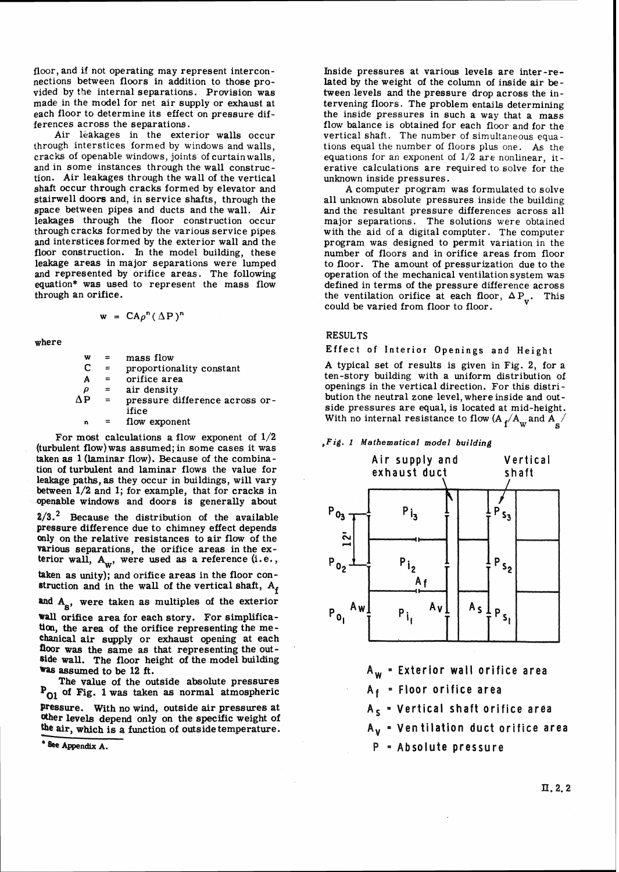floor, and if not operating may represent interconnections between floors in addition to those provided by the internal separations. Provision was made in the model for net air supply or exhaust at each floor to determine its effect on pressure differences across the separations.

Air leakages in the exterior walls occur through interstices formed by windows and walls, cracks of openable windows, joints of curtainwalls, and in some instances through the wall construction. Air leakages through the wall of the vertical shaft occur through cracks formed by elevator and stairwell doors and, in service shafts, through the space between pipes and ducts and the wall. Air leakages through the floor construction occur through cracks formed by the various service pipes and interstices formed by the exterior wall and the floor construction. In the model building, these leakage areas in major separations were lumped and represented by orifice areas. The following equation\* was used to represent the mass flow through an orifice.

$$
w = CA\rho^{n}(\Delta P)^{n}
$$

where

| w  |          | mass flow                      |
|----|----------|--------------------------------|
| C  | $\equiv$ | proportionality constant       |
| Α  | $=$      | orifice area                   |
| ρ  | $=$      | air density                    |
| ΛP | $\equiv$ | pressure difference across or- |
|    |          | ifice                          |
| n  |          | flow exponent                  |

For most calculations a flow exponent of  $1/2$ (turbulent flow) was assumed; in some cases it was taken **as** l (laminar flow). Because of the combination of turbulent and laminar flows the value for leakage paths, **as** they occur in buildings, will vary between 1/2 and 1; for example, that for cracks in openable windows and doors is generally about

**2/5.2** Because the distribution of the available pressure difference due to chimney effect depends Only on the relative resistances to air flow of the various separations, the orifice areas in the exterior wall,  $A_w$ , were used as a reference (i.e.,

taken as unity); and orifice areas in the floor construction and in the wall of the vertical shaft,  $A_f$ 

and A<sub>s</sub>, were taken as multiples of the exterior

**Wall** orifice area for each story. For simplificatim, the area of the orifice representing the mechanical air supply or exhaust opening at each floor was the same as that representing the outside wall. The floor height of the model building was assumed to be 12 ft.

The value of the outside absolute pressures **PO1** of **Fig.** l was taken **as** normal atmospheric Pressure. With no wind, outside air pressures at ather levels depend only on the specific weight of the air, which is a function of outside temperature.

\* See Appendix A.

Inside pressures at various levels are inter-related by the weight of the column of inside air between levels and the pressure drop across the intervening floors. The problem entails determining the inside pressures in such a way that a mass flow balance is obtained for each floor and for the vertical shaft. The number of simultaneous equations equal the number of floor6 plus one. **As** the equations for an exponent of **1/2** are nonlinear, iterative calculations are required to solve for the unknown inside pressures.

**A** computer program **was** formulated to solve all unknown absolute pressures inside the building and the resultant pressure differences across all major separations. The solutions were obtained with the aid of a digital computer. The computer program was designed to permit variation in the number of floors and in orifice areas from floor to floor. The amount of pressurization due to the operation of the mechanical ventilation system was defined in terms of the pressure difference across the ventilation orifice at each floor,  $\Delta P_v$ . This could be varied from floor to floor.

#### **RESULTS**

Effect of Interior Openings and Height

A typical set of results is given in Fig. 2, for a ten-story building with a uniform distribution of openings in the vertical direction. For this distribution the neutral zone level, where inside and outside pressures are equal, is located at mid-height. With no internal resistance to flow  $(A_f/A_w$  and  $A'_s$ 

#### *,Fig. l Mathematical* **model** *building*



**A,** = **Exterior wall orifice area** 

**Af** = **Floor orifice area** 

**As** = **Vertical shaft orifice area** 

**AV** = **Ventilation duct orifice area** 

**P Absolute pressure**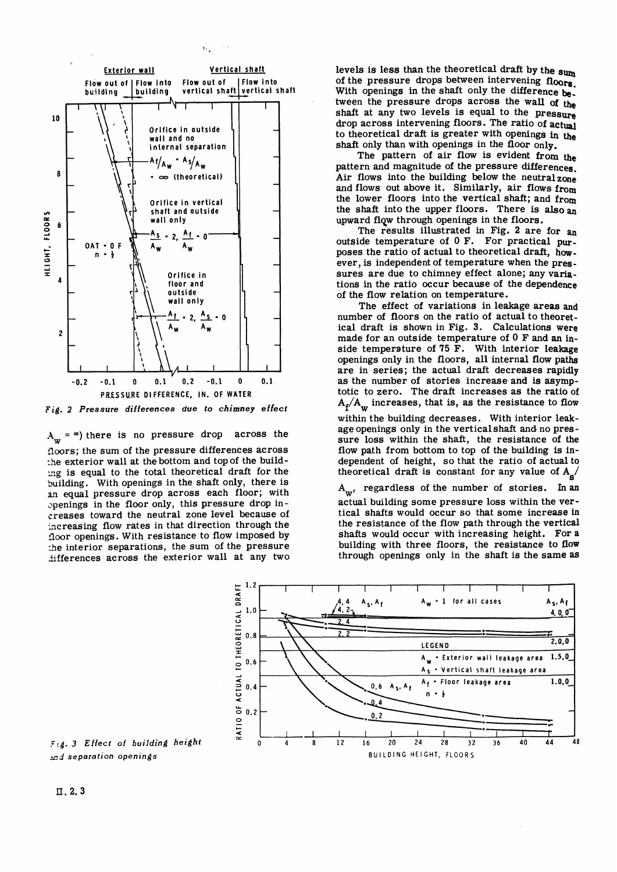

*Fig. 2 Pressure differences due to chimney effect* 

 $A_{\mathbf{w}} = \infty$ ) there is no pressure drop across the floors; the sum of the pressure differences across :he exterior wall at the bottom and top of the build ing is equal to the total theoretical draft for the building. With openings in the shaft only, there is **an** equal pressure drop across each floor; with ~penings in the floor only, this pressure drop increases toward the neutral zone level because of increasing flow rates in that direction through the floor openings. With resistance to flow imposed by :he interior separations, the sum of the pressure differences across the exterior wall at any two

levels is less than the theoretical draft by the sum of the pressure drops between intervening floors. With openings in the shaft only the difference **be**. tween the pressure drops across the wall **of**  shaft at any two levels is equal to the pressure drop across intervening floors. The ratio of actual to theoretical draft is greater with openings in the shaft only than with openings in the floor only.

The pattern of air **flow** is evident from pattern and magnitude of the pressure differences. Air flows into the building below the neutral  $z_{\text{One}}$ and flows out above it. Similarly, air flows from the lower floors into the vertical shaft; and from the shaft into the upper floors. There is also an upward flow through openings in the floors.

The results illustrated in Fig. **2** are for outside temperature of **0** F. For practical **put**poses the ratio of actual to theoretical draft, however, is independent of temperature when the pressures are due to chimney effect alone; any variations in the ratio occur because of the dependence of the flow relation on temperature.

The effect of variations in leakage areas **and**  number of floors on the ratio of actual to theoretical draft is shown in Fig. 3. Calculations were made for an outside temperature of **0** F and an inside temperature of 75  $\tilde{F}$ . With interior leakage openings only in the floors, all internal flow paths are in series; the actual draft decreases rapidly as the number of stories increase and is asymptotic to zero. The draft increases as the ratio of  $A_f/A_w$  increases, that is, as the resistance to flow

within the building decreases. With interior leakage openings only in the verticalshaft **and** no pressure loss within the shaft, the resistance of the flow path from bottom to top of the building is independent of height, so that the ratio of actual to theoretical draft is constant for any value of  $A_{s}$ /

**Aw,** regardless of the number of stories. **In an**  actual building some pressure loss within the vertical shafts would occur so that some increase **in**  the resistance of the flow path through the vertical shafts would occur with increasing height. For a building with three floors, the resistance to flow through openings only in the shaft is the same as



**.::d. 3 Effect of** *building height*  **md** *separation openings*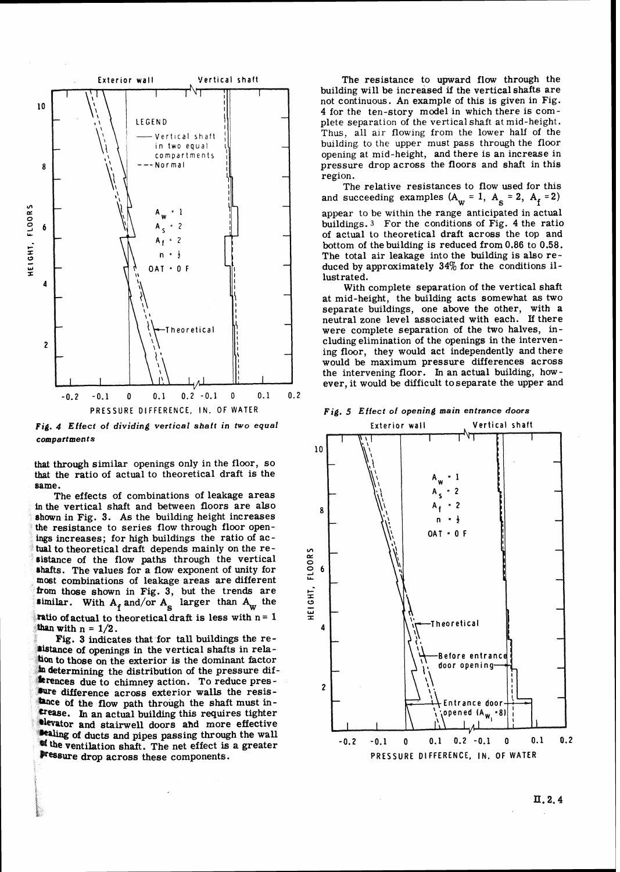

*Fig. 4 Effect of dividing vertical shaft in two equal compartments* 

that through similar openings only in the floor, so that the ratio of actual to theoretical draft is the

same.<br>The effects of combinations of leakage areas in the vertical shaft and between floors are also<br>shown in Fig. 3. As the building height increases<br>the resistance to series flow through floor openings increases; for high buildings the ratio of actual to theoretical draft depends mainly on the resistance of the flow paths through the vertical shafts. The values for a flow exponent of unity for most combinations of leakage areas are different from those shown in Fig. 3, but the trends are<br>similar. With  $A_f$  and/or  $A_s$  larger than  $A_w$  the **Tatio of actual to theoretical draft is less with**  $n = 1$ than with  $n = 1/2$ .

Fig. 3 indicates that for tall buildings the resistance of openings in the vertical shafts in relation to those on the exterior is the dominant factor an determining the distribution of the pressure difterences due to chimney action. To reduce pressure difference across exterior walls the resistance of the flow path through the shaft must in-**E**rease. In an actual building this requires tighter **Elevator and stairwell doors and more effective** sealing of ducts and pipes passing through the wall the ventilation shaft. The net effect is a greater **Pressure drop across these components.** 

**Exterior wall Vertical shaft** The resistance to upward flow through the building will be increased if the vertical shafts are **4** for the ten-story model in which there is complete separation of the vertical shaft at mid-height.  $\begin{array}{c} \text{Vertical shaft} \\ \text{in two equal} \\ \end{array}$   $\begin{array}{c} \text{The original tree} \\ \text{in two equal} \\ \end{array}$ building to the upper must pass through the floor opening at mid-height, and there is an increase in **<sup>8</sup>**pressure drop across the floors and shaft in this region.

> The relative resistances to flow used for this and succeeding examples  $(A_w = 1, A_s = 2, A_f = 2)$ <sup>2</sup>buildings.<sup>3</sup> For the conditions of Fig. 4 the ratio of actual to theoretical draft across the top and <sup>2</sup> I **I**bottom of the building is reduced from 0.86 to 0.58.<br>
> The total air leakage into the building is also re-**0** - The total air leakage into the building is also reduced by approximately 34% for the conditions il-<br>lustrated.

> > With complete separation of the vertical shaft at mid-height, the building acts somewhat as two eparate buildings, one above the other, with a neutral zone level associated with each. If there were complete separation of the two halves, in-**2** cluding elimination of the openings in the intervening floor, they would act independently and there would be maximum pressure differences across the intervening floor. In an actual building, however, it would be difficult toseparate the upper and





 $\Pi$ , 2, 4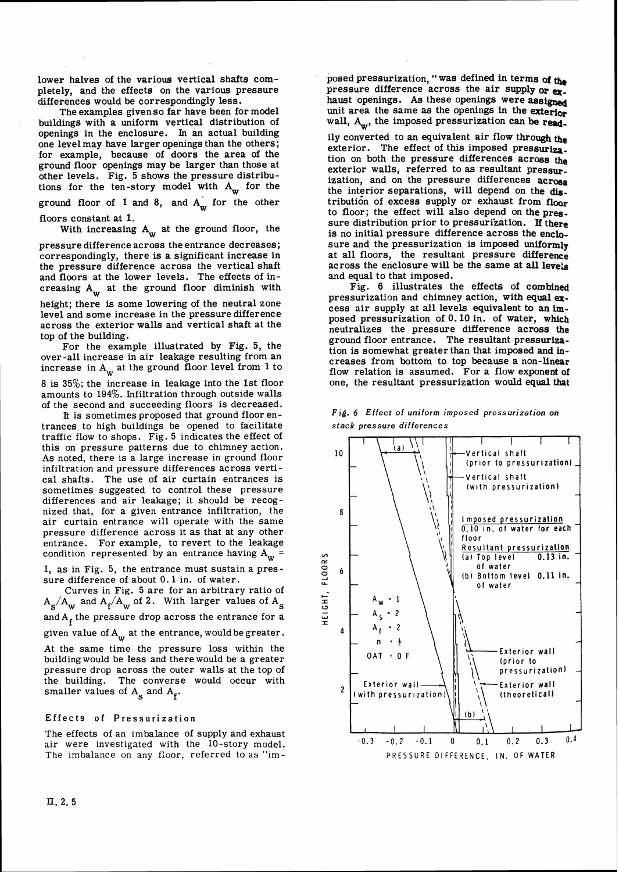lower halves of the various vertical shafts completely, and the effects on the various pressure differences would be correspondingly less.

The examples givenso far have been for model buildings with a uniform vertical distribution of openings in the enclosure. In an actual building one levelmay have larger openings than the others; for example, because of doors the area of the ground floor openings may be larger than those at other levels. Fig. 5 shows the pressure distributions for the ten-story model with  $A_w$  for the ground floor of 1 and 8, and  $A_w$  for the other floors constant at 1.

With increasing  $A_w$  at the ground floor, the

pressure difference across the entrance decreases; correspondingly, there is a significant increase in the pressure difference across the vertical shaft and floors at the lower levels. The effects of increasing  $A_w$  at the ground floor diminish with height; there is some lowering of the neutral zone level and some increase in the pressure difference across the exterior walls and vertical shaft at the top of the building.

For the example illustrated by Fig, 5, the over-all increase in air leakage resulting from an increase in  $A_w$  at the ground floor level from 1 to

8 is 35%; the increase in leakage into the 1st floor amounts to 194%. Infiltration through outside walls of the second and succeeding floors is decreased.

It is sometimes proposed that ground floor entrances to high buildings be opened to facilitate traffic flow to shops. Fig. 5 indicates the effect of this on pressure patterns due to chimney action. As noted, there is a large increase in ground floor infiltration and pressure differences across vertical shafts. The use of air curtain entrances is sometimes suggested to control these pressure differences and air leakage; it should be recognized that, for a given entrance infiltration, the air curtain entrance will operate with the same pressure difference across it as that at any other entrance. For example, to revert to the leakage condition represented by an entrance having  $A_w$  =

1, as in Fig. **5,** the entrance must sustain a pressure difference of about 0.1 in. of water.

Curves in Fig. 5 are for an arbitrary ratio of  $A_s/A_w$  and  $A_f/A_w$  of 2. With larger values of  $A_s$ and  $A_f$  the pressure drop across the entrance for a given value of  $A_w$  at the entrance, would be greater. At the same time the pressure loss within the buildingwould be less and there would be a greater pressure drop across the outer walls at the top of the building. The converse would occur with smaller values of  $A_s$  and  $A_f$ .

### **Effects of Pressurization**

The effects of an imbalance of supply and exhaust air were investigated with the 10-story model. The imbalance on any floor, referred to as "imposed pressurization, "was defined in terms of the pressure difference across the air supply or ex. haust openings. As these openings were assigned unit area the same as the openings in the exterior wall, A<sub>w</sub>, the imposed pressurization can be read-

ily converted to an equivalent air flow through the exterior. The effect of this imposed pressurization on both the pressure differences across the tion on both the pressure differences across the exterior walls, referred to as resultant pressur. ization, and on the pressure differences acrosa the interior separations, will depend on the distribution of excess supply or exhaust from floor to floor; the effect will also depend on the pressure distribution prior to pressurization. **If** there is no initial pressure difference across the enclosure and the pressurization is imposed uniformly at all floors, the resultant pressure difference across the enclosure will be the same at all levels and equal to that imposed.

Fig. 6 illustrates the effects of combine pressurization and chimney action, with **equal ex**cess air supply at all levels equivalent to an imposed pressurization of 0.10 in. of water, which neutralizes the pressure difference across **the**  ground floor entrance. The resultant pressurization is somewhat greater than that imposed and increases from bottom to top because a non-Linear flow relation is assumed. For a flow exponent **of**  one, the resultant pressurization would **equal** *that* 



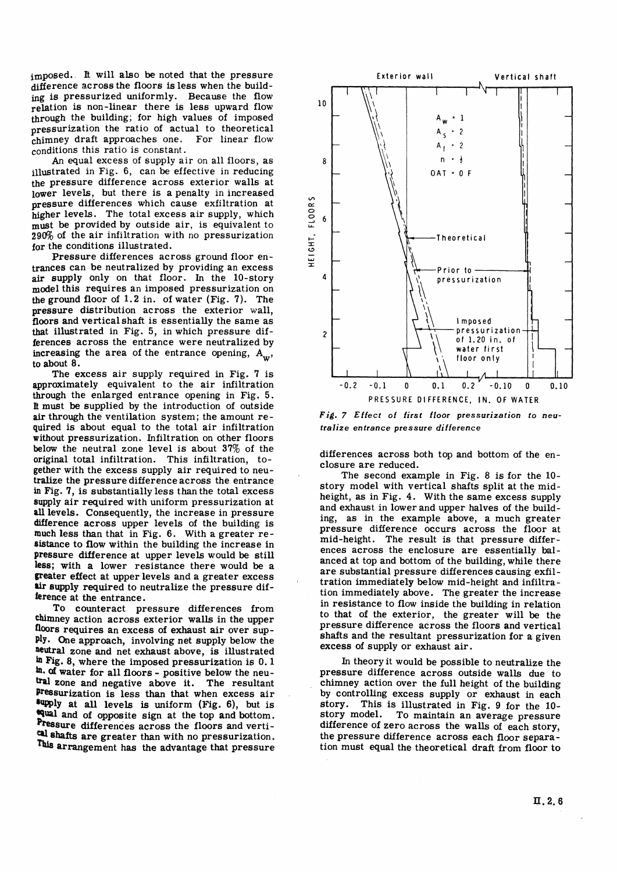imposed. It will also be noted that the pressure difference across the floors is less when the building is pressurized uniformly. Because the flow relation is non-linear there is less upward flow through the building; for high values of imposed pressurization the ratio of actual to theoretical<br>chimney draft approaches one. For linear flow chimney draft approaches one. conditions this ratio is constant.

An equal excess of supply air on all floors, as illustrated in Fig. 6, can be effective in reducing the pressure difference across exterior walls at lower levels, but there is a penalty in increased pressure differences which cause exfiltration at higher levels. The total excess air supply, which must be provided by outside air, is equivalent to **29a** of the air infiltration with no pressurization for the conditions illustrated.

Pressure differences across ground floor entrances can be neutralized by providing an excess **air** supply only on that floor. In the 10-story model this requires an imposed pressurization on the ground floor of 1.2 in. of water (Fig. 7). The pressure distribution across the exterior wall, floors and verticalshaft is essentially the same as that illustrated in Fig. 5, in which pressure differences across the entrance were neutralized by increasing the area of the entrance opening,  $A_{\mathbf{w}}^{\dagger}$ , to about 8.

The excess air supply required in Fig. 7 is approximately equivalent to the air infiltration through the enlarged entrance opening in Fig. 5. B must be supplied by the introduction of outside air through the ventilation system; the amount required is about equal to the total air infiltration without pressurization. Infiltration on other floors below the neutral zone level is about **37%~** of the original total infiltration. This infiltration, together with the excess supply air required to neutralize the pressure difference across the entrance in Fig. 7, is substantially less than the total excess 8upply air required with uniform pressurization at **all** levels. Consequently, the increase in pressure difference across upper levels of the building is much less than that in Fig. 6. With a greater resistance to flow within the building the increase in pressure difference at upper levels would be still less; with a lower resistance there would be a greater effect at upper levels and a greater excess air supply required to neutralize the pressure difkrence at the entrance.

To counteract pressure differences from chimney action across exterior walls in the upper floors requires an excess of exhaust air over sup**ply.** One approach, involving net supply below the neutral zone and net exhaust above, is illustrated **hg.** 8, where the imposed pressurization is 0.1 **in.** of water for all floors - positive below the neutral zone and negative above it. The resultant pressurization is less than that when excess air **@WPlp** at all levels is uniform **(Fig.** 6), but is **qual and** of opposite sign at the top and bottom. Pressure differences across the floors and verti-**8bafts** are greater than with no pressurization. This arrangement has the advantage that pressure



**Fig.** *7 Effect of first floor pressurization to neutralize entrance pressure difference* 

differences across both top and bottom of the enclosure are reduced.

The second example in Fig. 8 is for the 10 story model with vertical shafts split at the midheight, as in Fig. 4. With the same excess supply and exhaust in lower and upper halves of the building, as in the example above, a much greater pressure difference occurs across the floor at mid-height. The result is that pressure differences across the enclosure are essentially balanced at top and bottom of the building, while there are substantial pressure differences causing exfiltration immediately below mid-height and infiltration immediately above. The greater the increase in resistance to flow inside the building in relation to that of the exterior, the greater will be the pressure difference across the floors and vertical shafts and the resultant pressurization for a given excess of supply or exhaust air.

In theory it would be possible to neutralize the pressure difference across outside walls due to chimney action over the full height of the building by controlling excess supply or exhaust in each story. This is illustrated in Fig. 9 for the 10-<br>story model. To maintain an average pressure To maintain an average pressure difference of zero across the walls of each story, the pressure difference across each floor separation must equal the theoretical draft from floor to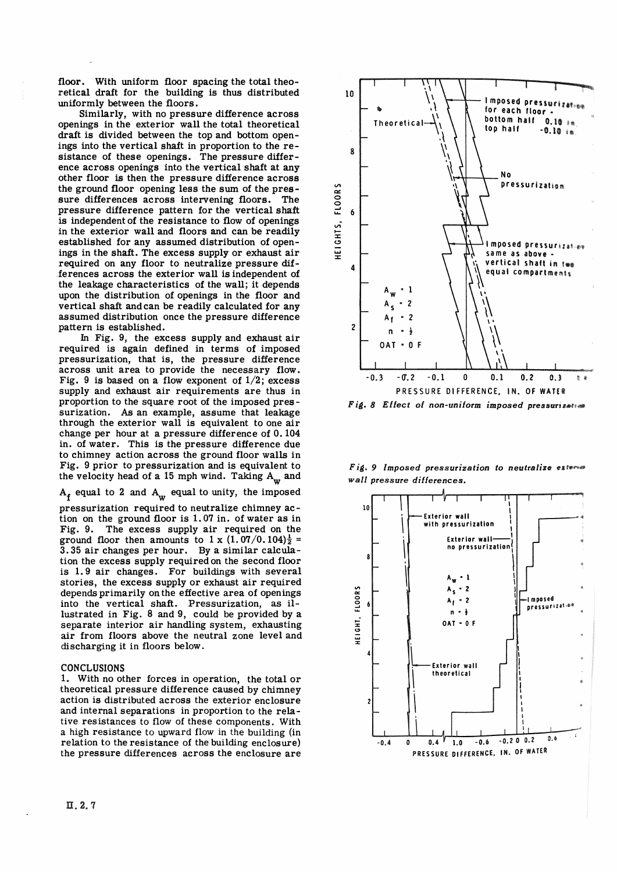floor. With uniform floor spacing the total theoretical draft for the building is thus distributed uniformly between the floors.

Similarly, with no pressure difference across openings in the exterior wall the total theoretical draft is divided between the top and bottom openings into the vertical shaft in proportion to the resistance of these openings. The pressure difference across openings into the vertical shaft at any other floor is then the pressure difference across the ground floor opening less the sum of the pressure differences across intervening floors. The pressure difference pattern for the vertical shaft is independent of the resistance to flow of openings in the exterior wall and floors and can be readily established for any assumed distribution of openings in the shaft. The excess supply or exhaust air required on any floor to neutralize pressure differences across the exterior wall is independent of the leakage characteristics of the wall; it depends upon the distribution of openings in the floor and vertical shaft andcan be readily calculated for any assumed distribution once the pressure difference pattern is established.

In Fig, 9, the excess supply and exhaust air required is again defined in terms of imposed pressurization, that is, the pressure difference across unit area to provide the necessary flow. Fig. 9 is based on a flow exponent of  $1/2$ ; excess supply and exhaust air requirements are thus in proportion to the square root of the imposed pressurization. As an example, assume that leakage through the exterior wall is equivalent to one air change per hour at a pressure difference of 0.104 in. of water. This is the pressure difference due to chimney action across the ground floor walls in Fig. 9 prior to pressurization and is equivalent to the velocity head of a 15 mph wind. Taking  $A_w$  and

 $A_f$  equal to 2 and  $A_w$  equal to unity, the imposed

pressurization required to neutralize chimney ac tion on the ground floor is  $1.07$  in. of water as in Fig. 9. The excess supply air required on the ground floor then amounts to 1 x  $(1.07/0.104)^{\frac{1}{2}}$  = 3.35 air changes per hour. By a similar calculation the excess supply required on the second floor is 1.9 air changes. For buildings with several stories, the excess supply or exhaust air required depends primarily on the effective area of openings into the vertical shaft. Pressurization, as illustrated in Fig. 8 and 9, could be provided by a separate interior air handling system, exhausting air from floors above the neutral zone level and discharging it in floors below.

#### CONCLUSIONS

1. With no other forces in operation, the total or theoretical pressure difference caused by chimney action is distributed across the exterior enclosure and internal separations in proportion to the relative resistances to flow of these components. With a high resistance to upward flow in the building (in relation to the resistance of the building enclosure) the pressure differences across the enclosure are



Fig. 8 Effect of non-uniform imposed pressurization

*Fig. 9 Imposed pressurization to neutralize externed wall pressure differences.* 

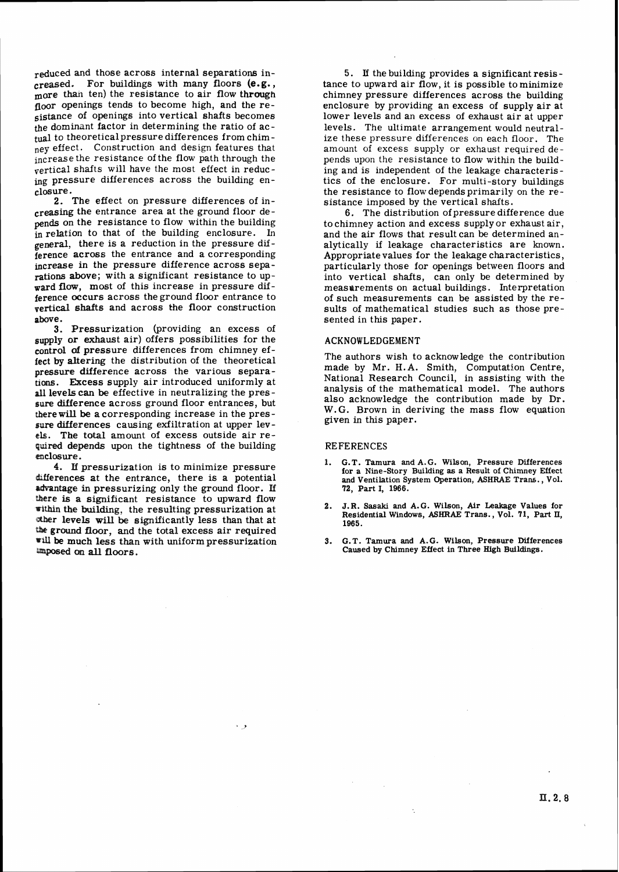reduced and those across internal separations increased. For buildings with many floors **(e.g.,**  more than ten) the resistance to air flow through floor openings tends to become high, and the resistance of openings into vertical shafts becomes the dominant factor in determining the ratio of ac**tual** to theoreticalpressure differences from chimney effect. Construction and design features that increase the resistance of the flow path through the  $\sqrt{\frac{1}{\pi}}$  retrical shafts will have the most effect in reducing pressure differences across the building enclosure.

2. The effect on pressure differences of increasing the entrance area at the ground floor depends on the resistance to flow within the building in relation to that of the building enclosure. In general, there is a reduction in the pressure difference across the entrance and a corresponding increase in the pressure difference across separations above; with a significant resistance to upward **flow,** most of this increase in pressure difference occurs across the ground floor entrance to vertical shafts and across the floor construction above.

**3.** Pressurization (providing an excess of supply or exhaust air) offers possibilities for the control **of** pressure differences from chimney effect **by** altering the distribution of the theoretical pressure difference across the various separa**has.** Bcess supply air introduced uniformly at **all** levels can be effective in neutralizing the pressure difference across ground floor entrances, but there **will** be a corresponding increase in the pres - **sure** differences causing exfiltration at upper lev **cls.** The total amount of excess outside air required depends upon the tightness of the building **mclosure.** 

4. If pressurization is to minimize pressure differences at the entrance, there is a potential advantage in pressurizing only the ground floor. If **ere** is a significant resistance to upward flow **Within** the **building:** the resulting pressurization at **Bahgr** levels **will** be significantly less than that at the ground floor, and the total excess air required will be much less than with uniform pressurization **all** floors.

و ا

5. If the building provides a significant resis tance to upward air flow, it is possible to minimize chimney pressure differences across the building enclosure by providing an excess of supply air at lower levels and an excess of exhaust air at upper levels. The ultimate arrangement would neutralize these pressure differences on each floor. The amount of excess supply or exhaust required depends upon the resistance to flow within the building and is independent of the leakage characteris tics of the enclosure. For multi-story buildings the resistance to flowdependsprimarily on the resistance imposed by the vertical shafts.

6. The distribution of pressure difference due to chimney action and excess supply or exhaust air, and the air flows that result can be determined analytically **if** leakage characteristics are known. Appropriatevalues for the leakage characteristics, particularly those for openings between floors and into vertical shafts, can only be determined by measurements on actual buildings. Interpretation of such measurements can be assisted by the results of mathematical studies such as those presented in this paper.

#### ACKNOWLEDGEMENT

The authors wish to acknowledge the contribution made by Mr. H.A. Smith, Computation Centre, National Research Council, in assisting with the analysis of the mathematical model. The authors also acknowledge the contribution made by Dr. W.G. Brown in deriving the mass flow equation given in this paper.

#### REFERENCES

- **1. G.T. Tamura and A. G. Wilson, Pressure Differences for a Nine-Story Building as a Result of Chimney Effect and Ventilation System Operation, ASHRAE Tram., Vol. 72, Part I, 1966.**
- **2. J.R. Sasaki and A.G. Wilson, Air Leakage Values for Residential Windows, ASHRAE Trans., Vol. 71, Part 11, 1965.**
- **S. G.T. Tamura and A.G. Wilson, Pressure Differences Caused by Chimney Effect in Three High Buildings.**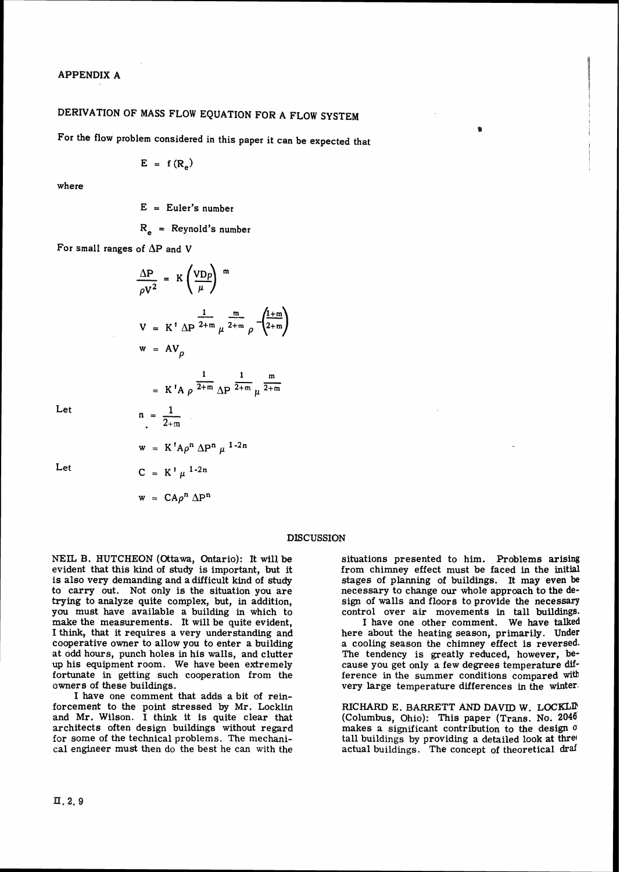# **DERIVATION OF MASS FLOW EQUATION FOR A FLOW SYSTEM**

For the flow problem considered in this paper it can be expected that

$$
E = f(R_e)
$$

**where** 

**E** = **Euler's number** 

**R,** = **Reynold's number** 

For small ranges of  $\Delta P$  and V

$$
\frac{\Delta P}{\rho V^2} = K \left(\frac{VDp}{\mu}\right)^m
$$
  
\n
$$
V = K' \Delta P^{\frac{1}{2+m}} \mu^{\frac{m}{2+m}} \rho^{-\left(\frac{1+m}{2+m}\right)}
$$
  
\n
$$
w = AV_p
$$
  
\n
$$
= K'A \rho^{\frac{1}{2+m}} \Delta P^{\frac{1}{2+m}} \mu^{\frac{m}{2+m}}
$$
  
\n
$$
n = \frac{1}{2+m}
$$

**Let** 

**Let** 

$$
w = K^{1} A \rho^{n} \Delta P^{n} \mu^{1-2n}
$$

$$
C = K^{1} \mu^{1-2n}
$$

 $w = CA\rho^n \Delta P^n$ 

#### DISCUSSION

NEIL B. HUTCHEON (Ottawa, Ontario): It will be evident that this kind of study is important, but it is also verg demanding and a difficult kind of **study**  to carry out. Not only is the situation you are trying to analyze quite complex, but, in addition, you must have available a building in which to make the measurements. It will be quite evident, I think, that it requires a very understanding and cooperative owner to allow you to enter a building at odd hours, punch holes in his walls, and clutter up his equipment room. We have been extremely fortunate in getting such cooperation from the owners of these buildings.

I have one comment that adds a bit of reinforcement to the point stressed by Mr. Locklin and Mr. Wilson. I think it is quite clear that architects often design buildings without regard for some of the technical problems. The mechanical engineer must then do the best he can with the

situations presented to him. Problems arising from chimney effect must be faced in the initial stages of planning of buildings. It may even be necessary to change our whole approach to the **de**sign of walls and floors to provide the necessary control over air movements in tall buildings.

 $\mathbf{a}$ 

I have one other comment. We have **talked**  here about the heating season, primarily. Under a cooling season the chimney effect is reversed. The tendency is greatly reduced, however, because you get only a few degrees temperature difference in the summer conditions compared with very large temperature differences in the winter'

RIcXIARI) E. **BARRETT** AND **DAVTD** W. **LOCKLD**  (Colurnbus, Ohio): This paper (Trans. No. **2046**  makes a significant contribution to **the** design **0**  tall buildings by providing a detailed look at three actual buildings. The concept of theoretical draf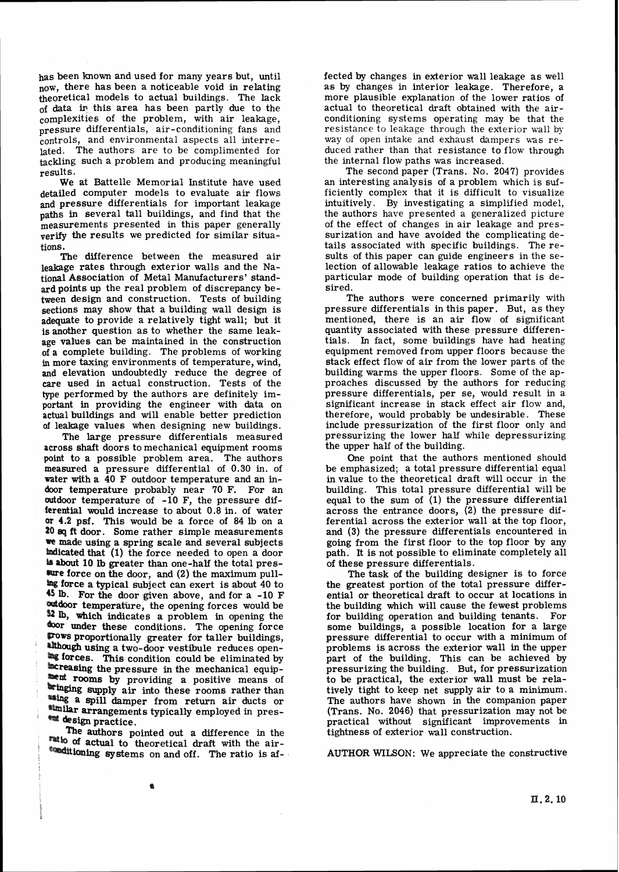has been known and used for many years but, until now, there has been a noticeable void in relating theoretical models to actual buildings. The lack of **data ir** this area has been partly due to the complexities of the problem, with air leakage, pressure differentials, air-conditioning fans and controls, and environmental aspects all interrelated. The authors are to be complimented for tackling such a problem and producing meaningful results.

We at Battelle Memorial Institute have used detailed computer models to evaluate air flows and pressure differentials for important leakage paths in several tall buildings, and find that the measurements presented in this paper generally verify the results we predicted for similar situations.

The difference between the measured air leakage rates through exterior walls and the National Association of Metal Manufacturers' standard points up the real problem of discrepancy between design and construction. Tests of building sections may show that a building wall design is adequate to provide a relatively tight wall; but it is another question as to whether the same leakage values can be maintained in the construction of a complete building. The problems of working **in** more taxing environments of temperature, wind, and elevation undoubtedly reduce the degree of care used in actual construction. Tests of the type performed by the authors are definitely important in providing the engineer with data on actual buildings and will enable better prediction of leakage values when designing new buildings.

The large pressure differentials measured across shaft doors to mechanical equipment rooms point to a possible problem area. The authors measured a pressure differential of 0.30 in. of vater with a 40 F outdoor temperature and an indoor temperature probably near 70 F. For an outdoor temperature of -10 F, the pressure differential would increase to about  $0.8$  in. of water **or** 4.2 psf. This would be a force of 84 lb on **a 20 eq ft** door. Some rather simple measurements **we** made using a spring scale and several subjects indicated that (1) the force needed to open a door **is about 10 lb greater than one-half the total pres**sure force on the door, and (2) the maximum pull-**Example 13 force a typical subject can exert is about 40 to ~UJ.** For the door given above, and for a -10 F andoor temperature, the opening forces would be **32 lb,** which indicates a problem in opening the  $\textbf{for under these conditions.}$  The opening force Proportionally greater for taller buildings, although using a two-door vestibule reduces open-**Ex forces.** This condition could be eliminated by acreasing the pressure in the mechanical equip**rooms** by providing a positive means of the supply air into these rooms rather than **ssing a spill damper from return air ducts or Winder arrangements typically employed in pres-\*\*\*** design practice.

**'he** authors pointed out a difference in the **actual to theoretical draft** with the air**binditioning systems** on and off. The ratio is affected by changes in exterior wall leakage as well as by changes in interior leakage. Therefore, a more plausible explanation of the lower ratios of actual to theoretical draft obtained with the airconditioning systems operating may be that the resistance to leakage through the exterior wall **by**  way of open intake and exhaust dampers uas reduced rather than that resistance to flow through the internal flow paths was increased.

The second paper (Trans. No. 2047) provides an interesting analysis of a problem which is sufficiently complex that it is difficult to visualize intuitively. By investigating a simplified model, the authors have presented a generalized picture of the effect of changes in air leakage and pressurization and have avoided the complicating details associated with specific buildings. The results of this paper can guide engineers in the selection of allowable leakage ratios to achieve the particular mode of building operation that is desired.

The authors were concerned primarily with pressure differentials in this paper. But, as they mentioned, there is an air flow of significant quantity associated with these pressure differentials. In fact, some buildings have had heating equipment removed from upper floors because the stack effect flow of air from the lower parts of the building warms the upper floors. Some of the approaches discussed by the authors for reducing pressure differentials, per se, would result in a significant increase in stack effect air flow and, therefore, would probably be undesirable. These include pressurization of the first floor only and pressurizing the lower half while depressurizing the upper half of the building.

One point that the authors mentioned should be emphasized; a total pressure differential equal in value to the theoretical draft will occur in the building. This total pressure differential will be equal to the sum of  $(1)$  the pressure differential across the entrance doors, (2) the pressure differential across the exterior wall at the top floor, and **(3)** the pressure differentials encountered in going from the first floor to the top floor by any path. It is not possible to eliminate completely all of these pressure differentials.

The task of the building designer is to force the greatest portion of the total pressure differential or theoretical draft to occur at locations in the building which will cause the fewest problems for building operation and building tenants. For some buildings, a possible location for a large pressure differential to occur with a minimum of problems is across the exterior wall in the upper part of the building. This can be achieved by pressurizing the building. But, for pressurization to be practical, the exterior wall must be relatively tight to keep net supply air to a minimum. The authors have shown in the companion paper (Trans. No. 2046) that pressurization may not be practical without significant improvements in tightness of exterior wall construction.

AUTHOR WILSON: We appreciate the constructive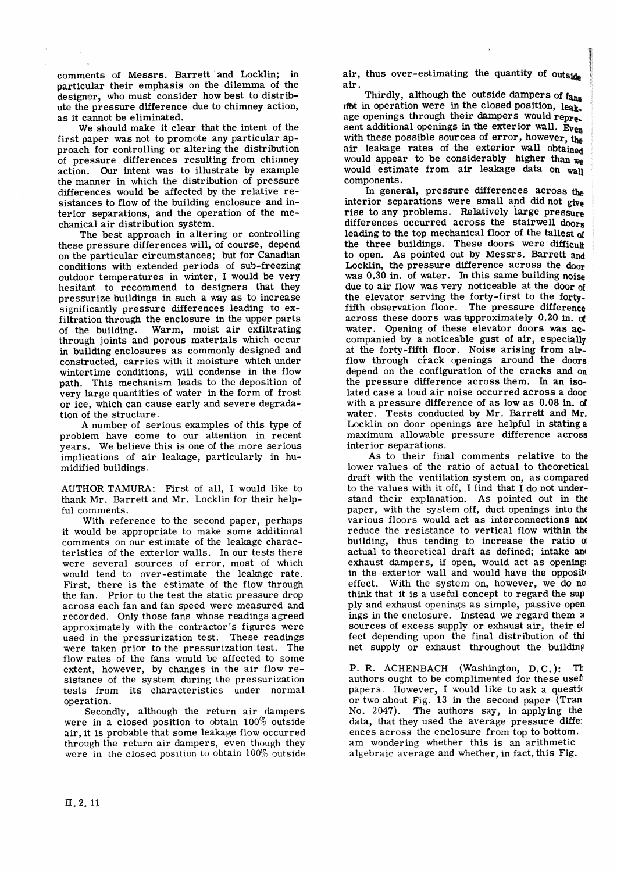comments of Messrs. Barrett and Locklin; in particular their emphasis on the dilemma of the designer, who must consider how best to distribute the pressure difference due to chimney action, as it cannot be eliminated.

We should make it clear that the intent of the first paper was not to promote any particular approach for controlling or altering the distribution of pressure differences resulting from chiinney action. Our intent was to illustrate by example the manner in which the distribution of pressure differences would be affected by the relative resistances to flow of the building enclosure and interior separations, and the operation of the mechanical air distribution system.

The best approach in altering or controlling these pressure differences will, of course, depend on the particular circumstances; but for Canadian conditions with extended periods of sub-freezing outdoor temperatures in winter, I would be very hesitant to recommend to designers that they pressurize buildings in such a way as to increase significantly pressure differences leading to exfiltration through the enclosure in the upper parts of the building. Warm, moist air exfiltrating through joints and porous materials which occur in building enclosures as commonly designed and constructed, carries with it moisture which under wintertime conditions, will condense in the flow path. This mechanism leads to the deposition of very large quantities of water in the form of frost or ice, which can cause early and severe degradation of the structure.

A number of serious examples of this type of problem have come to our attention in recent years. We believe this is one of the more serious implications of air leakage, particularly in humidif ied buildings.

AUTHOR TAMURA: First of all, I would like to thank Mr. Barrett and Mr. Locklin for their helpful comments.

With reference to the second paper, perhaps it would be appropriate to make some additional comments on our estimate of the leakage characteristics of the exterior walls. In our tests there were several sources of error, most of which would tend to over-estimate the leakage rate. First, there is the estimate of the flow through the fan. Prior to the test the static pressure drop across each fan and fan speed were measured and recorded. Only those fans whose readings agreed approximately with the contractor 'S figures were used in the pressurization test. These readings were taken prior to the pressurization test. The flow rates of the fans would be affected to some extent, however, by changes in the air flow resistance of the system during the pressurization tests from its characteristics under normal operation.

Secondly, although the return air dampers were in a closed position to obtain  $100\%$  outside air, it is probable that some leakage flow occurred through the return air dampers, even though they were in the closed position to obtain 100% outside air, thus over-estimating the quantity of outside  $air$ .

Thirdly, although the outside dampers of fans not in operation were in the closed position, leak. age openings through their dampers would repre. sent additional openings in the exterior wall. Even with these possible sources of error, however, the air leakage rates of the exterior **wall** obtained would appear to be considerably higher **than**  would estimate from air leakage data on wall components.

In general, pressure differences across the interior separations were small and did not **give**  rise to any problems. Relatively large pressure differences occurred across the stairwell doors leading to the top mechanical floor of the tallest af the three buildings. These doors were difficult to open. As pointed out by Messrs. Barrett **and**  Locklin, the pressure difference across the door was 0.30 in. of water. In this same building noise due to air flow was very noticeable at the door of the elevator serving the forty-first to the fortyfifth observation floor. The pressure difference across these doors was approximately 0.20 in. **cg**  water. Opening of these elevator doors was **ac**companied by a noticeable gust of air, especially at the forty-fifth floor. Noise arising from **air**flow through crack openings around the doors depend on the configuration of the cracks and on the pressure difference across them. **h** an isolated case a loud air noise occurred across a door with a pressure difference of as low as 0.08 in. af water. Tests conducted by Mr. Barrett and Mr. Locklin on door openings are helpful in stating a maximum allowable pressure difference across interior separations.

As to their final comments relative to the lower values of the ratio of actual to theoretical draft with the ventilation system on, as compared to the values with it off, I find that I do not understand their explanation. As pointed out in the paper, with the system off, duct openings into the various floors would act as interconnections **anc**  reduce the resistance to vertical flow within **tht**  building, thus tending to increase the ratio **d**  actual to theoretical draft as defined; intake **ant**  exhaust dampers, if open, would act as opening: in the exterior wall and would have the opposite effect. With the system on, however, we do no think that it is a useful concept to regard the sup ply and exhaust openings as simple, passive open ings in the enclosure. Instead we regard them a sources of excess supply or exhaust air, their ef fect depending upon the final distribution of thj net supply or exhaust throughout the building

P. R. ACHENBACH (Washington, D.C.): Th authors ought to be complimented for these uset papers. However, I would like to ask a questio or two about Fig. 13 in the second paper (Tran No. 2047). The authors say, in applying the data, that they used the average pressure diffe: ences across the enclosure from top to bottom. am wondering whether this is an arithmetic algebraic average and whether, in fact, this Fig.